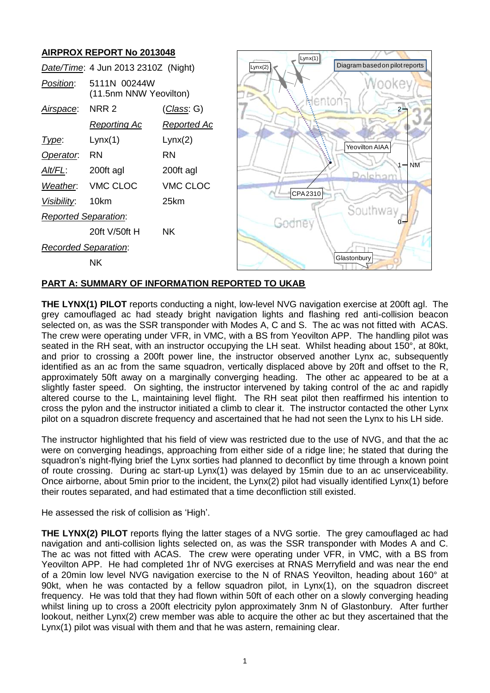## **AIRPROX REPORT No 2013048**



## **PART A: SUMMARY OF INFORMATION REPORTED TO UKAB**

**THE LYNX(1) PILOT** reports conducting a night, low-level NVG navigation exercise at 200ft agl. The grey camouflaged ac had steady bright navigation lights and flashing red anti-collision beacon selected on, as was the SSR transponder with Modes A, C and S. The ac was not fitted with ACAS. The crew were operating under VFR, in VMC, with a BS from Yeovilton APP. The handling pilot was seated in the RH seat, with an instructor occupying the LH seat. Whilst heading about 150°, at 80kt, and prior to crossing a 200ft power line, the instructor observed another Lynx ac, subsequently identified as an ac from the same squadron, vertically displaced above by 20ft and offset to the R. approximately 50ft away on a marginally converging heading. The other ac appeared to be at a slightly faster speed. On sighting, the instructor intervened by taking control of the ac and rapidly altered course to the L, maintaining level flight. The RH seat pilot then reaffirmed his intention to cross the pylon and the instructor initiated a climb to clear it. The instructor contacted the other Lynx pilot on a squadron discrete frequency and ascertained that he had not seen the Lynx to his LH side.

The instructor highlighted that his field of view was restricted due to the use of NVG, and that the ac were on converging headings, approaching from either side of a ridge line; he stated that during the squadron's night-flying brief the Lynx sorties had planned to deconflict by time through a known point of route crossing. During ac start-up Lynx(1) was delayed by 15min due to an ac unserviceability. Once airborne, about 5min prior to the incident, the Lynx(2) pilot had visually identified Lynx(1) before their routes separated, and had estimated that a time deconfliction still existed.

He assessed the risk of collision as 'High'.

**THE LYNX(2) PILOT** reports flying the latter stages of a NVG sortie. The grey camouflaged ac had navigation and anti-collision lights selected on, as was the SSR transponder with Modes A and C. The ac was not fitted with ACAS. The crew were operating under VFR, in VMC, with a BS from Yeovilton APP. He had completed 1hr of NVG exercises at RNAS Merryfield and was near the end of a 20min low level NVG navigation exercise to the N of RNAS Yeovilton, heading about 160° at 90kt, when he was contacted by a fellow squadron pilot, in Lynx(1), on the squadron discreet frequency. He was told that they had flown within 50ft of each other on a slowly converging heading whilst lining up to cross a 200ft electricity pylon approximately 3nm N of Glastonbury. After further lookout, neither Lynx(2) crew member was able to acquire the other ac but they ascertained that the Lynx(1) pilot was visual with them and that he was astern, remaining clear.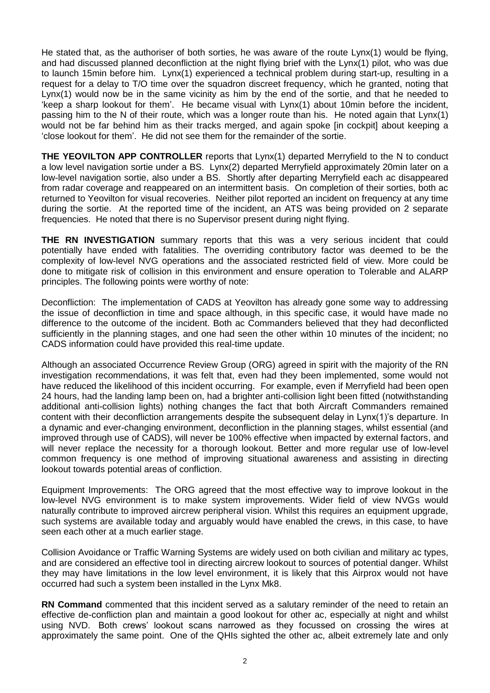He stated that, as the authoriser of both sorties, he was aware of the route Lynx(1) would be flying, and had discussed planned deconfliction at the night flying brief with the Lynx(1) pilot, who was due to launch 15min before him. Lynx(1) experienced a technical problem during start-up, resulting in a request for a delay to T/O time over the squadron discreet frequency, which he granted, noting that Lynx(1) would now be in the same vicinity as him by the end of the sortie, and that he needed to 'keep a sharp lookout for them'. He became visual with Lynx(1) about 10min before the incident, passing him to the N of their route, which was a longer route than his. He noted again that Lynx(1) would not be far behind him as their tracks merged, and again spoke [in cockpit] about keeping a 'close lookout for them'. He did not see them for the remainder of the sortie.

**THE YEOVILTON APP CONTROLLER** reports that Lynx(1) departed Merryfield to the N to conduct a low level navigation sortie under a BS. Lynx(2) departed Merryfield approximately 20min later on a low-level navigation sortie, also under a BS. Shortly after departing Merryfield each ac disappeared from radar coverage and reappeared on an intermittent basis. On completion of their sorties, both ac returned to Yeovilton for visual recoveries. Neither pilot reported an incident on frequency at any time during the sortie. At the reported time of the incident, an ATS was being provided on 2 separate frequencies. He noted that there is no Supervisor present during night flying.

**THE RN INVESTIGATION** summary reports that this was a very serious incident that could potentially have ended with fatalities. The overriding contributory factor was deemed to be the complexity of low-level NVG operations and the associated restricted field of view. More could be done to mitigate risk of collision in this environment and ensure operation to Tolerable and ALARP principles. The following points were worthy of note:

Deconfliction: The implementation of CADS at Yeovilton has already gone some way to addressing the issue of deconfliction in time and space although, in this specific case, it would have made no difference to the outcome of the incident. Both ac Commanders believed that they had deconflicted sufficiently in the planning stages, and one had seen the other within 10 minutes of the incident; no CADS information could have provided this real-time update.

Although an associated Occurrence Review Group (ORG) agreed in spirit with the majority of the RN investigation recommendations, it was felt that, even had they been implemented, some would not have reduced the likelihood of this incident occurring. For example, even if Merryfield had been open 24 hours, had the landing lamp been on, had a brighter anti-collision light been fitted (notwithstanding additional anti-collision lights) nothing changes the fact that both Aircraft Commanders remained content with their deconfliction arrangements despite the subsequent delay in Lynx(1)'s departure. In a dynamic and ever-changing environment, deconfliction in the planning stages, whilst essential (and improved through use of CADS), will never be 100% effective when impacted by external factors, and will never replace the necessity for a thorough lookout. Better and more regular use of low-level common frequency is one method of improving situational awareness and assisting in directing lookout towards potential areas of confliction.

Equipment Improvements: The ORG agreed that the most effective way to improve lookout in the low-level NVG environment is to make system improvements. Wider field of view NVGs would naturally contribute to improved aircrew peripheral vision. Whilst this requires an equipment upgrade, such systems are available today and arguably would have enabled the crews, in this case, to have seen each other at a much earlier stage.

Collision Avoidance or Traffic Warning Systems are widely used on both civilian and military ac types, and are considered an effective tool in directing aircrew lookout to sources of potential danger. Whilst they may have limitations in the low level environment, it is likely that this Airprox would not have occurred had such a system been installed in the Lynx Mk8.

**RN Command** commented that this incident served as a salutary reminder of the need to retain an effective de-confliction plan and maintain a good lookout for other ac, especially at night and whilst using NVD. Both crews' lookout scans narrowed as they focussed on crossing the wires at approximately the same point. One of the QHIs sighted the other ac, albeit extremely late and only